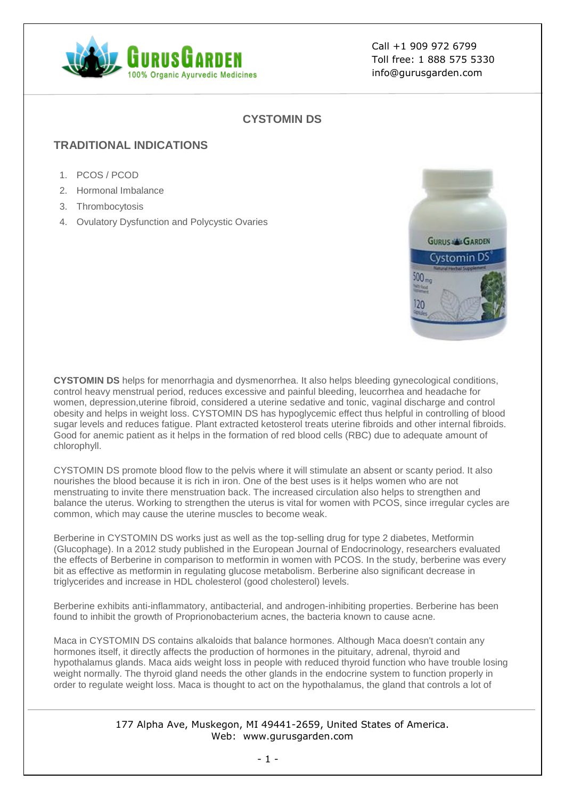

Call +1 909 972 6799 Toll free: 1 888 575 5330 info@gurusgarden.com

## **CYSTOMIN DS**

# **TRADITIONAL INDICATIONS**

- 1. PCOS / PCOD
- 2. Hormonal Imbalance
- 3. Thrombocytosis
- 4. Ovulatory Dysfunction and Polycystic Ovaries



**CYSTOMIN DS** helps for menorrhagia and dysmenorrhea. It also helps bleeding gynecological conditions, control heavy menstrual period, reduces excessive and painful bleeding, leucorrhea and headache for women, depression,uterine fibroid, considered a uterine sedative and tonic, vaginal discharge and control obesity and helps in weight loss. CYSTOMIN DS has hypoglycemic effect thus helpful in controlling of blood sugar levels and reduces fatigue. Plant extracted ketosterol treats uterine fibroids and other internal fibroids. Good for anemic patient as it helps in the formation of red blood cells (RBC) due to adequate amount of chlorophyll.

CYSTOMIN DS promote blood flow to the pelvis where it will stimulate an absent or scanty period. It also nourishes the blood because it is rich in iron. One of the best uses is it helps women who are not menstruating to invite there menstruation back. The increased circulation also helps to strengthen and balance the uterus. Working to strengthen the uterus is vital for women with PCOS, since irregular cycles are common, which may cause the uterine muscles to become weak.

Berberine in CYSTOMIN DS works just as well as the top-selling drug for type 2 diabetes, Metformin (Glucophage). In a 2012 study published in the European Journal of Endocrinology, researchers evaluated the effects of Berberine in comparison to metformin in women with PCOS. In the study, berberine was every bit as effective as metformin in regulating glucose metabolism. Berberine also significant decrease in triglycerides and increase in HDL cholesterol (good cholesterol) levels.

Berberine exhibits anti-inflammatory, antibacterial, and androgen-inhibiting properties. Berberine has been found to inhibit the growth of Proprionobacterium acnes, the bacteria known to cause acne.

Maca in CYSTOMIN DS contains alkaloids that balance hormones. Although Maca doesn't contain any hormones itself, it directly affects the production of hormones in the pituitary, adrenal, thyroid and hypothalamus glands. Maca aids weight loss in people with reduced thyroid function who have trouble losing weight normally. The thyroid gland needs the other glands in the endocrine system to function properly in order to regulate weight loss. Maca is thought to act on the hypothalamus, the gland that controls a lot of

#### 177 Alpha Ave, Muskegon, MI 49441-2659, United States of America. Web: www.gurusgarden.com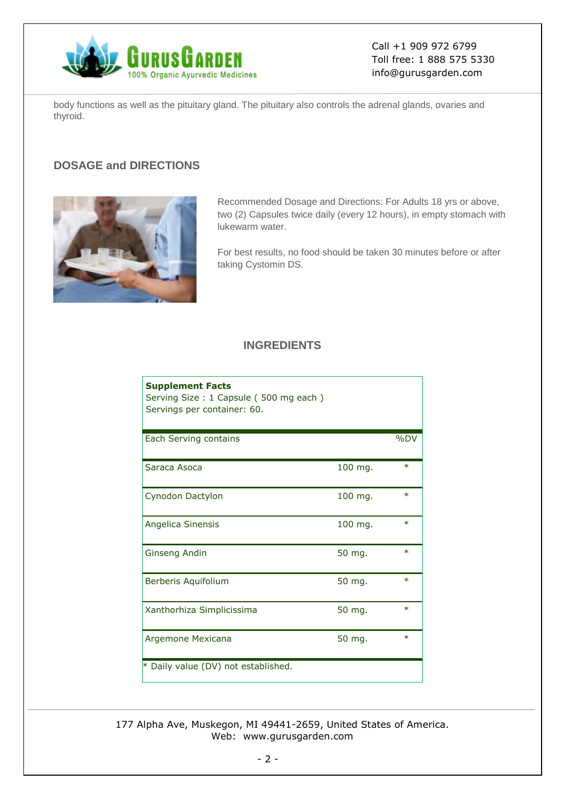

Call +1 909 972 6799 Toll free: 1 888 575 5330 info@gurusgarden.com

body functions as well as the pituitary gland. The pituitary also controls the adrenal glands, ovaries and thyroid.

# **DOSAGE and DIRECTIONS**



Recommended Dosage and Directions: For Adults 18 yrs or above, two (2) Capsules twice daily (every 12 hours), in empty stomach with lukewarm water.

For best results, no food should be taken 30 minutes before or after taking Cystomin DS.

#### **INGREDIENTS**

| <b>Supplement Facts</b><br>Serving Size: 1 Capsule (500 mg each)<br>Servings per container: 60. |         |        |
|-------------------------------------------------------------------------------------------------|---------|--------|
| Each Serving contains                                                                           |         | %DV    |
| Saraca Asoca                                                                                    | 100 mg. | $\ast$ |
| Cynodon Dactylon                                                                                | 100 mg. | $\ast$ |
| Angelica Sinensis                                                                               | 100 mg. | $\ast$ |
| Ginseng Andin                                                                                   | 50 mg.  | $\ast$ |
| Berberis Aquifolium                                                                             | 50 mg.  | $\ast$ |
| Xanthorhiza Simplicissima                                                                       | 50 mg.  | $\ast$ |
| Argemone Mexicana                                                                               | 50 mg.  | $\ast$ |
| * Daily value (DV) not established.                                                             |         |        |

177 Alpha Ave, Muskegon, MI 49441-2659, United States of America. Web: www.gurusgarden.com